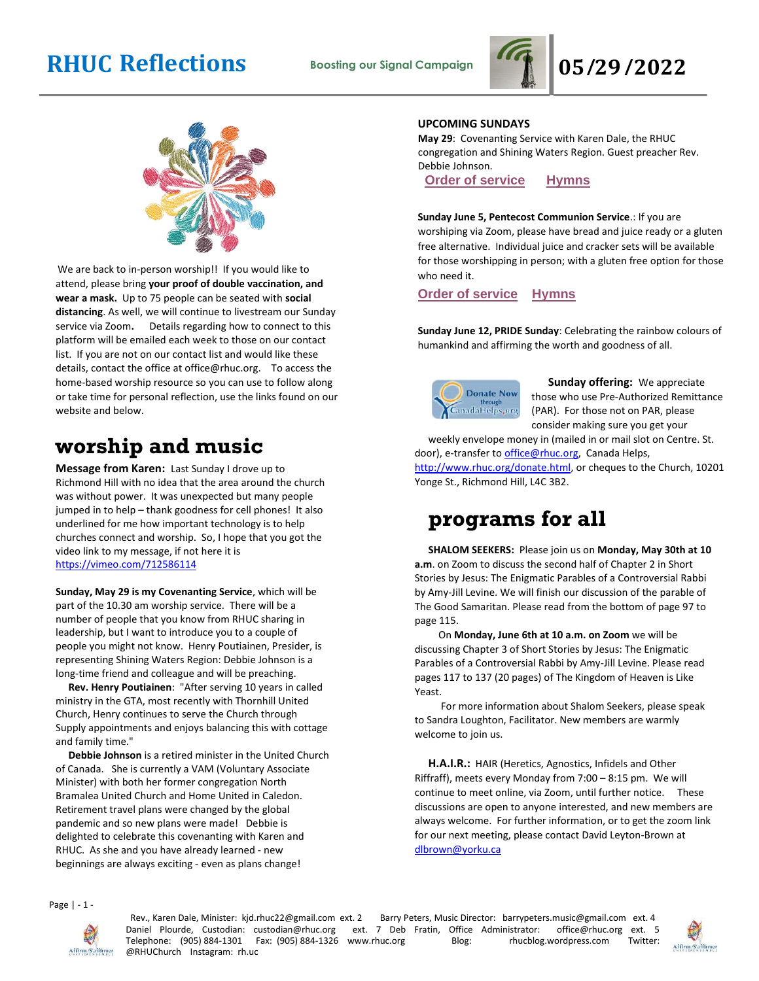



We are back to in-person worship!! If you would like to attend, please bring **your proof of double vaccination, and wear a mask.** Up to 75 people can be seated with **social distancing**. As well, we will continue to livestream our Sunday service via Zoom**.** Details regarding how to connect to this platform will be emailed each week to those on our contact list. If you are not on our contact list and would like these details, contact the office at office@rhuc.org. To access the home-based worship resource so you can use to follow along or take time for personal reflection, use the links found on our website and below.

# **worship and music**

**Message from Karen:** Last Sunday I drove up to Richmond Hill with no idea that the area around the church was without power. It was unexpected but many people jumped in to help – thank goodness for cell phones! It also underlined for me how important technology is to help churches connect and worship. So, I hope that you got the video link to my message, if not here it is <https://vimeo.com/712586114>

**Sunday, May 29 is my Covenanting Service**, which will be part of the 10.30 am worship service. There will be a number of people that you know from RHUC sharing in leadership, but I want to introduce you to a couple of people you might not know. Henry Poutiainen, Presider, is representing Shining Waters Region: Debbie Johnson is a long-time friend and colleague and will be preaching.

 **Rev. Henry Poutiainen**: "After serving 10 years in called ministry in the GTA, most recently with Thornhill United Church, Henry continues to serve the Church through Supply appointments and enjoys balancing this with cottage and family time."

 **Debbie Johnson** is a retired minister in the United Church of Canada. She is currently a VAM (Voluntary Associate Minister) with both her former congregation North Bramalea United Church and Home United in Caledon. Retirement travel plans were changed by the global pandemic and so new plans were made! Debbie is delighted to celebrate this covenanting with Karen and RHUC. As she and you have already learned - new beginnings are always exciting - even as plans change!

### **UPCOMING SUNDAYS**

**May 29**: Covenanting Service with Karen Dale, the RHUC congregation and Shining Waters Region. Guest preacher Rev. Debbie Johnson.

**Order of [service](http://rhuc.org/May%2029%20OofS%20CONGREGATION.pdf) [Hymns](http://rhuc.org/Hymns%20for%202022%2005%2029.pdf)**

### **Sunday June 5, Pentecost Communion Service**.: If you are

worshiping via Zoom, please have bread and juice ready or a gluten free alternative. Individual juice and cracker sets will be available for those worshipping in person; with a gluten free option for those who need it.

**Order of [service](http://rhuc.org/JUne%205%20OofS%20Pentecost%20communion.pdf) [Hymns](http://rhuc.org/Hymns%20for%202022%2006%2005.pdf)**

**Sunday June 12, PRIDE Sunday**: Celebrating the rainbow colours of humankind and affirming the worth and goodness of all.



**Sunday offering:** We appreciate those who use Pre-Authorized Remittance (PAR). For those not on PAR, please consider making sure you get your

weekly envelope money in (mailed in or mail slot on Centre. St. door), e-transfer to office@rhuc.org, Canada Helps, [http://www.rhuc.org/donate.html,](http://www.rhuc.org/donate.html) or cheques to the Church, 10201 Yonge St., Richmond Hill, L4C 3B2.

## **programs for all**

**SHALOM SEEKERS:** Please join us on **Monday, May 30th at 10 a.m**. on Zoom to discuss the second half of Chapter 2 in Short Stories by Jesus: The Enigmatic Parables of a Controversial Rabbi by Amy-Jill Levine. We will finish our discussion of the parable of The Good Samaritan. Please read from the bottom of page 97 to page 115.

 On **Monday, June 6th at 10 a.m. on Zoom** we will be discussing Chapter 3 of Short Stories by Jesus: The Enigmatic Parables of a Controversial Rabbi by Amy-Jill Levine. Please read pages 117 to 137 (20 pages) of The Kingdom of Heaven is Like Yeast.

 For more information about Shalom Seekers, please speak to Sandra Loughton, Facilitator. New members are warmly welcome to join us.

**H.A.I.R.:** HAIR (Heretics, Agnostics, Infidels and Other Riffraff), meets every Monday from 7:00 – 8:15 pm. We will continue to meet online, via Zoom, until further notice.These discussions are open to anyone interested, and new members are always welcome. For further information, or to get the zoom link for our next meeting, please contact David Leyton-Brown at [dlbrown@yorku.ca](mailto:dlbrown@yorku.ca)

Page | - 1 -



Rev., Karen Dale, Minister: kjd.rhuc22@gmail.com ext. 2 Barry Peters, Music Director: barrypeters.music@gmail.com ext. 4 Daniel Plourde, Custodian: custodian@rhuc.org ext. 7 Deb Fratin, Office Administrator: office@rhuc.org ext. 5<br>Telephone: (905)884-1301 Fax: (905)884-1326 www.rhuc.org Blog: rhucblog.wordpress.com Twitter: Telephone: (905) 884-1301 Fax: (905) 884-1326 www.rhuc.org Blog: rhucblog.wordpress.com @RHUChurch Instagram: rh.uc

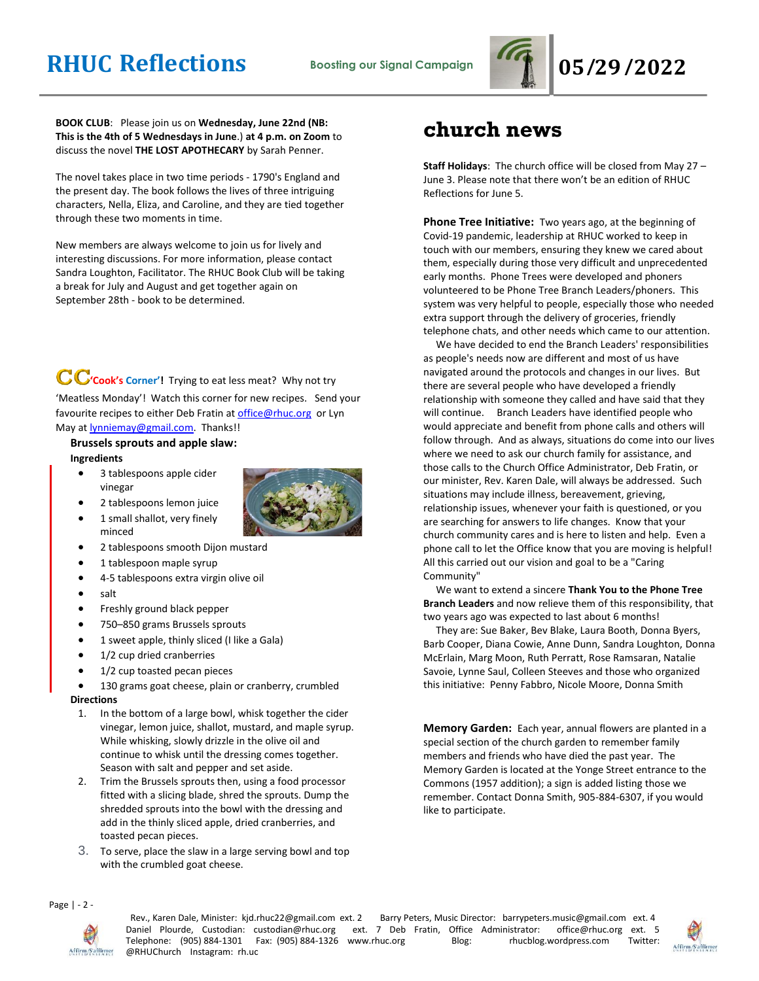

**BOOK CLUB**: Please join us on **Wednesday, June 22nd (NB: This is the 4th of 5 Wednesdays in June**.) **at 4 p.m. on Zoom** to discuss the novel **THE LOST APOTHECARY** by Sarah Penner.

The novel takes place in two time periods - 1790's England and the present day. The book follows the lives of three intriguing characters, Nella, Eliza, and Caroline, and they are tied together through these two moments in time.

New members are always welcome to join us for lively and interesting discussions. For more information, please contact Sandra Loughton, Facilitator. The RHUC Book Club will be taking a break for July and August and get together again on September 28th - book to be determined.

CC'cook's Corner'! Trying to eat less meat? Why not try 'Meatless Monday'! Watch this corner for new recipes. Send your favourite recipes to either Deb Fratin at [office@rhuc.org](mailto:office@rhuc.org) or Lyn May a[t lynniemay@gmail.com.](mailto:lynniemay@gmail.com) Thanks!!

## **Brussels sprouts and apple slaw: Ingredients**

• 3 tablespoons apple cider vinegar





- 1 small shallot, very finely
- 2 tablespoons smooth Dijon mustard
- 1 tablespoon maple syrup
- 4-5 tablespoons extra virgin olive oil
- salt

minced

- Freshly ground black pepper
- 750–850 grams Brussels sprouts
- 1 sweet apple, thinly sliced (I like a Gala)
- 1/2 cup dried cranberries
- 1/2 cup toasted pecan pieces
- 130 grams goat cheese, plain or cranberry, crumbled

### **Directions**

- 1. In the bottom of a large bowl, whisk together the cider vinegar, lemon juice, shallot, mustard, and maple syrup. While whisking, slowly drizzle in the olive oil and continue to whisk until the dressing comes together. Season with salt and pepper and set aside.
- 2. Trim the Brussels sprouts then, using a food processor fitted with a slicing blade, shred the sprouts. Dump the shredded sprouts into the bowl with the dressing and add in the thinly sliced apple, dried cranberries, and toasted pecan pieces.
- 3. To serve, place the slaw in a large serving bowl and top with the crumbled goat cheese.

## **church news**

**Staff Holidays**: The church office will be closed from May 27 – June 3. Please note that there won't be an edition of RHUC Reflections for June 5.

**Phone Tree Initiative:** Two years ago, at the beginning of Covid-19 pandemic, leadership at RHUC worked to keep in touch with our members, ensuring they knew we cared about them, especially during those very difficult and unprecedented early months. Phone Trees were developed and phoners volunteered to be Phone Tree Branch Leaders/phoners. This system was very helpful to people, especially those who needed extra support through the delivery of groceries, friendly telephone chats, and other needs which came to our attention.

 We have decided to end the Branch Leaders' responsibilities as people's needs now are different and most of us have navigated around the protocols and changes in our lives. But there are several people who have developed a friendly relationship with someone they called and have said that they will continue. Branch Leaders have identified people who would appreciate and benefit from phone calls and others will follow through. And as always, situations do come into our lives where we need to ask our church family for assistance, and those calls to the Church Office Administrator, Deb Fratin, or our minister, Rev. Karen Dale, will always be addressed. Such situations may include illness, bereavement, grieving, relationship issues, whenever your faith is questioned, or you are searching for answers to life changes. Know that your church community cares and is here to listen and help. Even a phone call to let the Office know that you are moving is helpful! All this carried out our vision and goal to be a "Caring Community"

 We want to extend a sincere **Thank You to the Phone Tree Branch Leaders** and now relieve them of this responsibility, that two years ago was expected to last about 6 months!

 They are: Sue Baker, Bev Blake, Laura Booth, Donna Byers, Barb Cooper, Diana Cowie, Anne Dunn, Sandra Loughton, Donna McErlain, Marg Moon, Ruth Perratt, Rose Ramsaran, Natalie Savoie, Lynne Saul, Colleen Steeves and those who organized this initiative: Penny Fabbro, Nicole Moore, Donna Smith

**Memory Garden:** Each year, annual flowers are planted in a special section of the church garden to remember family members and friends who have died the past year. The Memory Garden is located at the Yonge Street entrance to the Commons (1957 addition); a sign is added listing those we remember. Contact Donna Smith, 905-884-6307, if you would like to participate.

Page | - 2 -



Rev., Karen Dale, Minister: kjd.rhuc22@gmail.com ext. 2 Barry Peters, Music Director: barrypeters.music@gmail.com ext. 4<br>Vaniel Plourde, Custodian: custodian@rhuc.org ext. 7 Deb Fratin, Office Administrator: office@rhuc.or Daniel Plourde, Custodian: custodian@rhuc.org ext. 7 Deb Fratin, Office Administrator: office@rhuc.org ext. 5 Telephone: (905) 884-1301 Fax: (905) 884-1326 www.rhuc.org Blog: rhucblog.wordpress.com Twitter: @RHUChurch Instagram: rh.uc

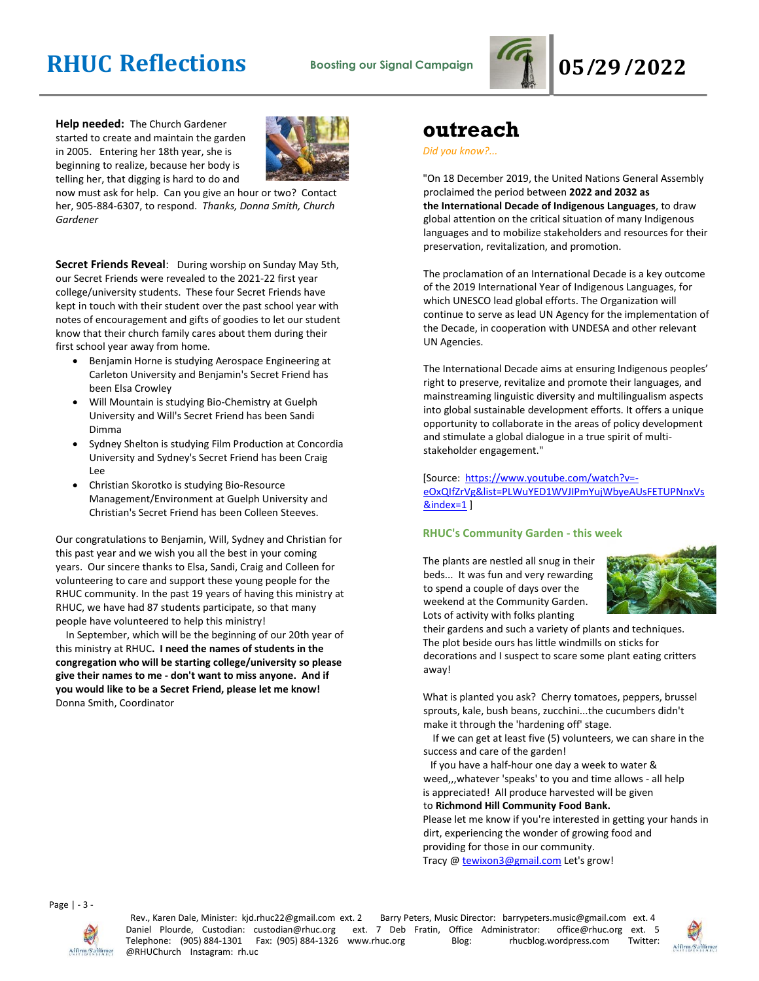

**Help needed:** The Church Gardener started to create and maintain the garden in 2005. Entering her 18th year, she is beginning to realize, because her body is telling her, that digging is hard to do and



now must ask for help. Can you give an hour or two? Contact her, 905-884-6307, to respond. *Thanks, Donna Smith, Church Gardener*

**Secret Friends Reveal**: During worship on Sunday May 5th, our Secret Friends were revealed to the 2021-22 first year college/university students. These four Secret Friends have kept in touch with their student over the past school year with notes of encouragement and gifts of goodies to let our student know that their church family cares about them during their first school year away from home.

- Benjamin Horne is studying Aerospace Engineering at Carleton University and Benjamin's Secret Friend has been Elsa Crowley
- Will Mountain is studying Bio-Chemistry at Guelph University and Will's Secret Friend has been Sandi Dimma
- Sydney Shelton is studying Film Production at Concordia University and Sydney's Secret Friend has been Craig Lee
- Christian Skorotko is studying Bio-Resource Management/Environment at Guelph University and Christian's Secret Friend has been Colleen Steeves.

Our congratulations to Benjamin, Will, Sydney and Christian for this past year and we wish you all the best in your coming years. Our sincere thanks to Elsa, Sandi, Craig and Colleen for volunteering to care and support these young people for the RHUC community. In the past 19 years of having this ministry at RHUC, we have had 87 students participate, so that many people have volunteered to help this ministry!

 In September, which will be the beginning of our 20th year of this ministry at RHUC**. I need the names of students in the congregation who will be starting college/university so please give their names to me - don't want to miss anyone. And if you would like to be a Secret Friend, please let me know!** Donna Smith, Coordinator

## **outreach**

*Did you know?...*

"On 18 December 2019, the United Nations General Assembly proclaimed the period between **2022 and 2032 as the International Decade of Indigenous Languages**, to draw global attention on the critical situation of many Indigenous languages and to mobilize stakeholders and resources for their preservation, revitalization, and promotion.

The proclamation of an International Decade is a key outcome of the 2019 International Year of Indigenous Languages, for which UNESCO lead global efforts. The Organization will continue to serve as lead UN Agency for the implementation of the Decade, in cooperation with UNDESA and other relevant UN Agencies.

The International Decade aims at ensuring Indigenous peoples' right to preserve, revitalize and promote their languages, and mainstreaming linguistic diversity and multilingualism aspects into global sustainable development efforts. It offers a unique opportunity to collaborate in the areas of policy development and stimulate a global dialogue in a true spirit of multistakeholder engagement."

[Source: [https://www.youtube.com/watch?v=](https://www.youtube.com/watch?v=-eOxQIfZrVg&list=PLWuYED1WVJIPmYujWbyeAUsFETUPNnxVs&index=1) [eOxQIfZrVg&list=PLWuYED1WVJIPmYujWbyeAUsFETUPNnxVs](https://www.youtube.com/watch?v=-eOxQIfZrVg&list=PLWuYED1WVJIPmYujWbyeAUsFETUPNnxVs&index=1) [&index=1](https://www.youtube.com/watch?v=-eOxQIfZrVg&list=PLWuYED1WVJIPmYujWbyeAUsFETUPNnxVs&index=1) ]

### **RHUC's Community Garden - this week**

The plants are nestled all snug in their beds... It was fun and very rewarding to spend a couple of days over the weekend at the Community Garden. Lots of activity with folks planting



their gardens and such a variety of plants and techniques. The plot beside ours has little windmills on sticks for decorations and I suspect to scare some plant eating critters away!

What is planted you ask? Cherry tomatoes, peppers, brussel sprouts, kale, bush beans, zucchini...the cucumbers didn't make it through the 'hardening off' stage.

 If we can get at least five (5) volunteers, we can share in the success and care of the garden!

 If you have a half-hour one day a week to water & weed,,,whatever 'speaks' to you and time allows - all help is appreciated! All produce harvested will be given to **Richmond Hill Community Food Bank.**

Please let me know if you're interested in getting your hands in dirt, experiencing the wonder of growing food and providing for those in our community.

Tracy @ [tewixon3@gmail.com](mailto:tewixon3@gmail.com) Let's grow!

Page | - 3 -



Rev., Karen Dale, Minister: kjd.rhuc22@gmail.com ext. 2 Barry Peters, Music Director: barrypeters.music@gmail.com ext. 4 Daniel Plourde, Custodian: custodian@rhuc.org ext. 7 Deb Fratin, Office Administrator: office@rhuc.org ext. 5<br>Telephone: (905) 884-1301 Fax: (905) 884-1326 www.rhuc.org Blog: hucblog.wordpress.com Twitter: Telephone: (905) 884-1301 Fax: (905) 884-1326 www.rhuc.org @RHUChurch Instagram: rh.uc